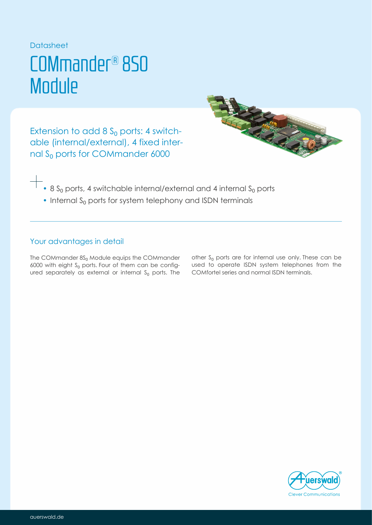### Datasheet

## COMmander® 8S0 **Module**

Extension to add 8  $S_0$  ports: 4 switchable (internal/external), 4 fixed internal  $\mathrm{S}_0$  ports for COMmander 6000



- $\bullet$  8 S<sub>0</sub> ports, 4 switchable internal/external and 4 internal S<sub>0</sub> ports
- $\cdot$  Internal S<sub>0</sub> ports for system telephony and ISDN terminals

## Your advantages in detail

The COMmander  $8\%_0$  Module equips the COMmander  $6000$  with eight  $S_0$  ports. Four of them can be configured separately as external or internal  $\mathsf{S}_0$  ports. The

other  $S_0$  ports are for internal use only. These can be used to operate ISDN system telephones from the COMfortel series and normal ISDN terminals.